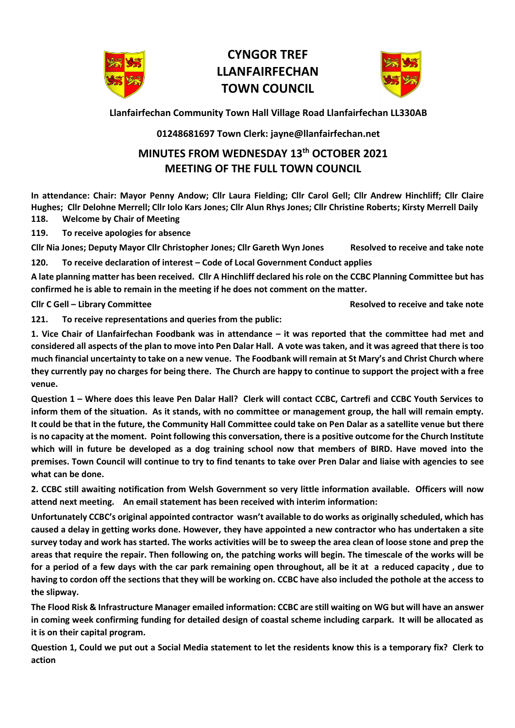

## **CYNGOR TREF LLANFAIRFECHAN TOWN COUNCIL**



**Llanfairfechan Community Town Hall Village Road Llanfairfechan LL330AB**

## **01248681697 Town Clerk: jayne@llanfairfechan.net**

## **MINUTES FROM WEDNESDAY 13th OCTOBER 2021 MEETING OF THE FULL TOWN COUNCIL**

**In attendance: Chair: Mayor Penny Andow; Cllr Laura Fielding; Cllr Carol Gell; Cllr Andrew Hinchliff; Cllr Claire Hughes; Cllr Delohne Merrell; Cllr Iolo Kars Jones; Cllr Alun Rhys Jones; Cllr Christine Roberts; Kirsty Merrell Daily 118. Welcome by Chair of Meeting**

**119. To receive apologies for absence**

**Cllr Nia Jones; Deputy Mayor Cllr Christopher Jones; Cllr Gareth Wyn Jones Resolved to receive and take note**

**120. To receive declaration of interest – Code of Local Government Conduct applies**

**A late planning matter has been received. Cllr A Hinchliff declared his role on the CCBC Planning Committee but has confirmed he is able to remain in the meeting if he does not comment on the matter.** 

**Cllr C Gell – Library Committee Resolved to receive and take note**

**121. To receive representations and queries from the public:**

**1. Vice Chair of Llanfairfechan Foodbank was in attendance – it was reported that the committee had met and considered all aspects of the plan to move into Pen Dalar Hall. A vote was taken, and it was agreed that there is too much financial uncertainty to take on a new venue. The Foodbank will remain at St Mary's and Christ Church where they currently pay no charges for being there. The Church are happy to continue to support the project with a free venue.** 

**Question 1 – Where does this leave Pen Dalar Hall? Clerk will contact CCBC, Cartrefi and CCBC Youth Services to inform them of the situation. As it stands, with no committee or management group, the hall will remain empty. It could be that in the future, the Community Hall Committee could take on Pen Dalar as a satellite venue but there is no capacity at the moment. Point following this conversation, there is a positive outcome for the Church Institute which will in future be developed as a dog training school now that members of BIRD. Have moved into the premises. Town Council will continue to try to find tenants to take over Pren Dalar and liaise with agencies to see what can be done.** 

**2. CCBC still awaiting notification from Welsh Government so very little information available. Officers will now attend next meeting. An email statement has been received with interim information:** 

**Unfortunately CCBC's original appointed contractor wasn't available to do works as originally scheduled, which has caused a delay in getting works done. However, they have appointed a new contractor who has undertaken a site survey today and work has started. The works activities will be to sweep the area clean of loose stone and prep the areas that require the repair. Then following on, the patching works will begin. The timescale of the works will be for a period of a few days with the car park remaining open throughout, all be it at a reduced capacity , due to having to cordon off the sections that they will be working on. CCBC have also included the pothole at the access to the slipway.**

**The Flood Risk & Infrastructure Manager emailed information: CCBC are still waiting on WG but will have an answer in coming week confirming funding for detailed design of coastal scheme including carpark. It will be allocated as it is on their capital program.** 

**Question 1, Could we put out a Social Media statement to let the residents know this is a temporary fix? Clerk to action**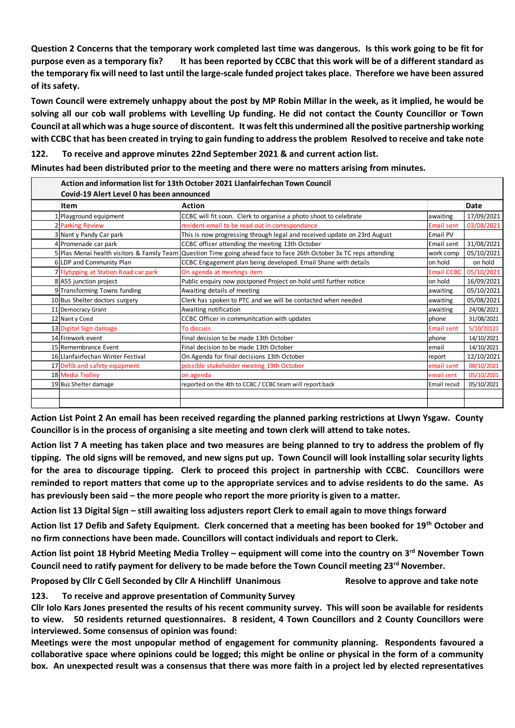**Question 2 Concerns that the temporary work completed last time was dangerous. Is this work going to be fit for purpose even as a temporary fix? It has been reported by CCBC that this work will be of a different standard as the temporary fix will need to last until the large-scale funded project takes place. Therefore we have been assured of its safety.** 

**Town Council were extremely unhappy about the post by MP Robin Millar in the week, as it implied, he would be solving all our cob wall problems with Levelling Up funding. He did not contact the County Councillor or Town Council at all which was a huge source of discontent. It was felt this undermined all the positive partnership working with CCBC that has been created in trying to gain funding to address the problem Resolved to receive and take note**

**122. To receive and approve minutes 22nd September 2021 & and current action list.** 

**Minutes had been distributed prior to the meeting and there were no matters arising from minutes.**

| Item                                                                                                                      | Action                                                                                                                                                                                                                                                                                                                                                                                                                                                              | Date       |
|---------------------------------------------------------------------------------------------------------------------------|---------------------------------------------------------------------------------------------------------------------------------------------------------------------------------------------------------------------------------------------------------------------------------------------------------------------------------------------------------------------------------------------------------------------------------------------------------------------|------------|
| 1 Playground equipment                                                                                                    | CCBC will fit soon. Clerk to organise a photo shoot to celebrate<br>awaiting                                                                                                                                                                                                                                                                                                                                                                                        | 17/09/2021 |
| 2 Parking Review                                                                                                          | resident email to be read out in correspondance<br><b>Email sent</b>                                                                                                                                                                                                                                                                                                                                                                                                | 03/08/2021 |
| 3 Nant y Pandy Car park                                                                                                   | This is now progressing through legal and received update on 23rd August<br>Email PV                                                                                                                                                                                                                                                                                                                                                                                |            |
| 4 Promenade car park                                                                                                      | CCBC officer attending the meeting 13th October<br>Email sent                                                                                                                                                                                                                                                                                                                                                                                                       | 31/08/2021 |
| 5 Plas Menai health visitors & Family Team                                                                                | Question Time going ahead face to face 26th October 3x TC reps attending<br>work comp                                                                                                                                                                                                                                                                                                                                                                               | 05/10/2021 |
| 6 LDP and Community Plan                                                                                                  | CCBC Engagement plan being developed. Email Shane with details<br>on hold                                                                                                                                                                                                                                                                                                                                                                                           | on hold    |
| 7 Flytipping at Station Road car park                                                                                     | On agenda at meetings item<br>Email CCBC                                                                                                                                                                                                                                                                                                                                                                                                                            | 05/10/2021 |
| 8 A55 junction project                                                                                                    | Public enquiry now postponed Project on hold until further notice<br>on hold                                                                                                                                                                                                                                                                                                                                                                                        | 16/09/2021 |
| 9 Transforming Towns funding                                                                                              | Awaiting details of meeting<br>awaiting                                                                                                                                                                                                                                                                                                                                                                                                                             | 05/10/2021 |
| 10 Bus Shelter doctors surgery                                                                                            | Clerk has spoken to PTC and we will be contacted when needed<br>awaiting                                                                                                                                                                                                                                                                                                                                                                                            | 05/08/2021 |
| 11 Democracy Grant                                                                                                        | Awaiting notification<br>awaiting                                                                                                                                                                                                                                                                                                                                                                                                                                   | 24/08/2021 |
| 12 Nant y Coed                                                                                                            | CCBC Officer in communitcation with updates<br>phone                                                                                                                                                                                                                                                                                                                                                                                                                | 31/08/2021 |
| 13 Digital Sign damage                                                                                                    | To discuss<br><b>Email sent</b>                                                                                                                                                                                                                                                                                                                                                                                                                                     | 5/10/20121 |
| 14 Firework event                                                                                                         | Final decision to be made 13th October<br>phone                                                                                                                                                                                                                                                                                                                                                                                                                     | 14/10/2021 |
| 15 Remembrance Event                                                                                                      | Final decision to be made 13th October<br>email                                                                                                                                                                                                                                                                                                                                                                                                                     | 14/10/2021 |
| 16 Llanfairfechan Winter Festival                                                                                         | On Agenda for final decisions 13th October<br>report                                                                                                                                                                                                                                                                                                                                                                                                                | 12/10/2021 |
| 17 Defib and safety equipment                                                                                             | possible stakeholder meeting 19th October<br>email sent                                                                                                                                                                                                                                                                                                                                                                                                             | 08/10/2021 |
| 18 Media Trolley                                                                                                          | on agenda<br>email sent                                                                                                                                                                                                                                                                                                                                                                                                                                             | 05/10/2021 |
| 19 Bus Shelter damage                                                                                                     | reported on the 4th to CCBC / CCBC team will report back<br>Email recvd                                                                                                                                                                                                                                                                                                                                                                                             | 05/10/2021 |
|                                                                                                                           | Action List Point 2 An email has been received regarding the planned parking restrictions at Llwyn Ysgaw. County<br>Councillor is in the process of organising a site meeting and town clerk will attend to take notes.<br>Action list 7 A meeting has taken place and two measures are being planned to try to address the problem of fly<br>tipping. The old signs will be removed, and new signs put up. Town Council will look installing solar security lights |            |
|                                                                                                                           | for the area to discourage tipping. Clerk to proceed this project in partnership with CCBC. Councillors were<br>reminded to report matters that come up to the appropriate services and to advise residents to do the same. As                                                                                                                                                                                                                                      |            |
|                                                                                                                           | has previously been said – the more people who report the more priority is given to a matter.<br>Action list 13 Digital Sign - still awaiting loss adjusters report Clerk to email again to move things forward                                                                                                                                                                                                                                                     |            |
|                                                                                                                           | Action list 17 Defib and Safety Equipment. Clerk concerned that a meeting has been booked for 19 <sup>th</sup> October and<br>no firm connections have been made. Councillors will contact individuals and report to Clerk.                                                                                                                                                                                                                                         |            |
|                                                                                                                           | Action list point 18 Hybrid Meeting Media Trolley - equipment will come into the country on 3rd November Town<br>Council need to ratify payment for delivery to be made before the Town Council meeting 23rd November.                                                                                                                                                                                                                                              |            |
| Proposed by Cllr C Gell Seconded by Cllr A Hinchliff Unanimous<br>To receive and approve presentation of Community Survey | Resolve to approve and take note                                                                                                                                                                                                                                                                                                                                                                                                                                    |            |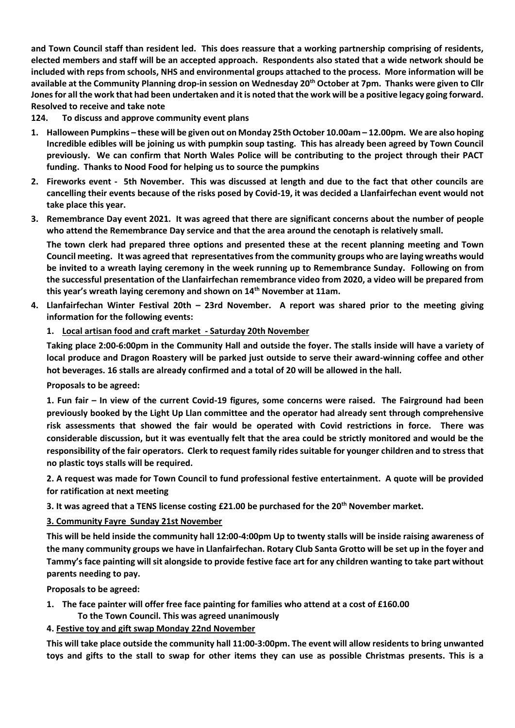**and Town Council staff than resident led. This does reassure that a working partnership comprising of residents, elected members and staff will be an accepted approach. Respondents also stated that a wide network should be included with reps from schools, NHS and environmental groups attached to the process. More information will be available at the Community Planning drop-in session on Wednesday 20th October at 7pm. Thanks were given to Cllr Jones for all the work that had been undertaken and it is noted that the work will be a positive legacy going forward. Resolved to receive and take note**

**124. To discuss and approve community event plans** 

- **1. Halloween Pumpkins – these will be given out on Monday 25th October 10.00am – 12.00pm. We are also hoping Incredible edibles will be joining us with pumpkin soup tasting. This has already been agreed by Town Council previously. We can confirm that North Wales Police will be contributing to the project through their PACT funding. Thanks to Nood Food for helping us to source the pumpkins**
- **2. Fireworks event 5th November. This was discussed at length and due to the fact that other councils are cancelling their events because of the risks posed by Covid-19, it was decided a Llanfairfechan event would not take place this year.**
- **3. Remembrance Day event 2021. It was agreed that there are significant concerns about the number of people who attend the Remembrance Day service and that the area around the cenotaph is relatively small.**

**The town clerk had prepared three options and presented these at the recent planning meeting and Town Council meeting. It was agreed that representatives from the community groups who are laying wreaths would be invited to a wreath laying ceremony in the week running up to Remembrance Sunday. Following on from the successful presentation of the Llanfairfechan remembrance video from 2020, a video will be prepared from this year's wreath laying ceremony and shown on 14th November at 11am.** 

- **4. Llanfairfechan Winter Festival 20th – 23rd November. A report was shared prior to the meeting giving information for the following events:** 
	- **1. Local artisan food and craft market - Saturday 20th November**

**Taking place 2:00-6:00pm in the Community Hall and outside the foyer. The stalls inside will have a variety of local produce and Dragon Roastery will be parked just outside to serve their award-winning coffee and other hot beverages. 16 stalls are already confirmed and a total of 20 will be allowed in the hall.** 

**Proposals to be agreed:** 

**1. Fun fair – In view of the current Covid-19 figures, some concerns were raised. The Fairground had been previously booked by the Light Up Llan committee and the operator had already sent through comprehensive risk assessments that showed the fair would be operated with Covid restrictions in force. There was considerable discussion, but it was eventually felt that the area could be strictly monitored and would be the responsibility of the fair operators. Clerk to request family rides suitable for younger children and to stress that no plastic toys stalls will be required.** 

**2. A request was made for Town Council to fund professional festive entertainment. A quote will be provided for ratification at next meeting**

**3. It was agreed that a TENS license costing £21.00 be purchased for the 20th November market.** 

**3. Community Fayre Sunday 21st November** 

**This will be held inside the community hall 12:00-4:00pm Up to twenty stalls will be inside raising awareness of the many community groups we have in Llanfairfechan. Rotary Club Santa Grotto will be set up in the foyer and Tammy's face painting will sit alongside to provide festive face art for any children wanting to take part without parents needing to pay.**

**Proposals to be agreed:** 

- **1. The face painter will offer free face painting for families who attend at a cost of £160.00** 
	- **To the Town Council. This was agreed unanimously**

**4. Festive toy and gift swap Monday 22nd November**

**This will take place outside the community hall 11:00-3:00pm. The event will allow residents to bring unwanted toys and gifts to the stall to swap for other items they can use as possible Christmas presents. This is a**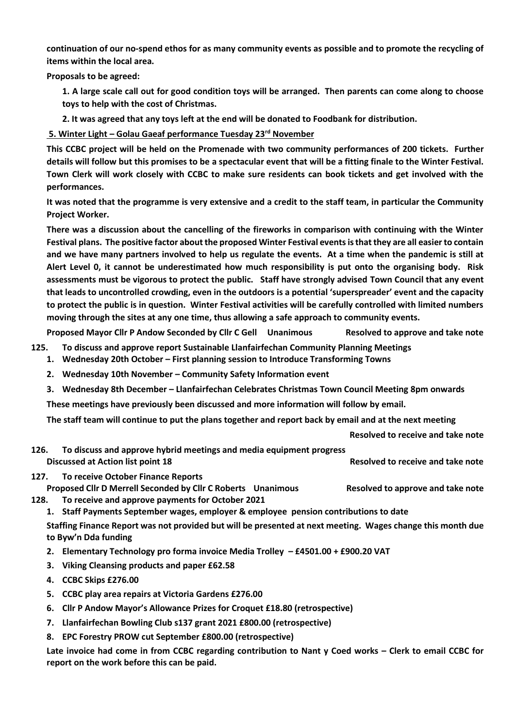**continuation of our no-spend ethos for as many community events as possible and to promote the recycling of items within the local area.**

**Proposals to be agreed:** 

**1. A large scale call out for good condition toys will be arranged. Then parents can come along to choose toys to help with the cost of Christmas.** 

**2. It was agreed that any toys left at the end will be donated to Foodbank for distribution.** 

**5. Winter Light – Golau Gaeaf performance Tuesday 23rd November**

**This CCBC project will be held on the Promenade with two community performances of 200 tickets. Further details will follow but this promises to be a spectacular event that will be a fitting finale to the Winter Festival. Town Clerk will work closely with CCBC to make sure residents can book tickets and get involved with the performances.** 

**It was noted that the programme is very extensive and a credit to the staff team, in particular the Community Project Worker.** 

**There was a discussion about the cancelling of the fireworks in comparison with continuing with the Winter Festival plans. The positive factor about the proposed Winter Festival events is that they are all easier to contain and we have many partners involved to help us regulate the events. At a time when the pandemic is still at Alert Level 0, it cannot be underestimated how much responsibility is put onto the organising body. Risk assessments must be vigorous to protect the public. Staff have strongly advised Town Council that any event that leads to uncontrolled crowding, even in the outdoors is a potential 'superspreader' event and the capacity to protect the public is in question. Winter Festival activities will be carefully controlled with limited numbers moving through the sites at any one time, thus allowing a safe approach to community events.** 

**Proposed Mayor Cllr P Andow Seconded by Cllr C Gell Unanimous Resolved to approve and take note**

- **125. To discuss and approve report Sustainable Llanfairfechan Community Planning Meetings** 
	- **1. Wednesday 20th October – First planning session to Introduce Transforming Towns**
	- **2. Wednesday 10th November – Community Safety Information event**
	- **3. Wednesday 8th December – Llanfairfechan Celebrates Christmas Town Council Meeting 8pm onwards**

**These meetings have previously been discussed and more information will follow by email.** 

**The staff team will continue to put the plans together and report back by email and at the next meeting** 

**Resolved to receive and take note**

- **126. To discuss and approve hybrid meetings and media equipment progress Discussed at Action list point 18 Resolved to receive and take note Resolved to receive and take note**
- **127. To receive October Finance Reports Proposed Cllr D Merrell Seconded by Cllr C Roberts Unanimous Resolved to approve and take note**
- **128. To receive and approve payments for October 2021**
	- **1. Staff Payments September wages, employer & employee pension contributions to date**

**Staffing Finance Report was not provided but will be presented at next meeting. Wages change this month due to Byw'n Dda funding** 

- **2. Elementary Technology pro forma invoice Media Trolley – £4501.00 + £900.20 VAT**
- **3. Viking Cleansing products and paper £62.58**
- **4. CCBC Skips £276.00**
- **5. CCBC play area repairs at Victoria Gardens £276.00**
- **6. Cllr P Andow Mayor's Allowance Prizes for Croquet £18.80 (retrospective)**
- **7. Llanfairfechan Bowling Club s137 grant 2021 £800.00 (retrospective)**
- **8. EPC Forestry PROW cut September £800.00 (retrospective)**

**Late invoice had come in from CCBC regarding contribution to Nant y Coed works – Clerk to email CCBC for report on the work before this can be paid.**